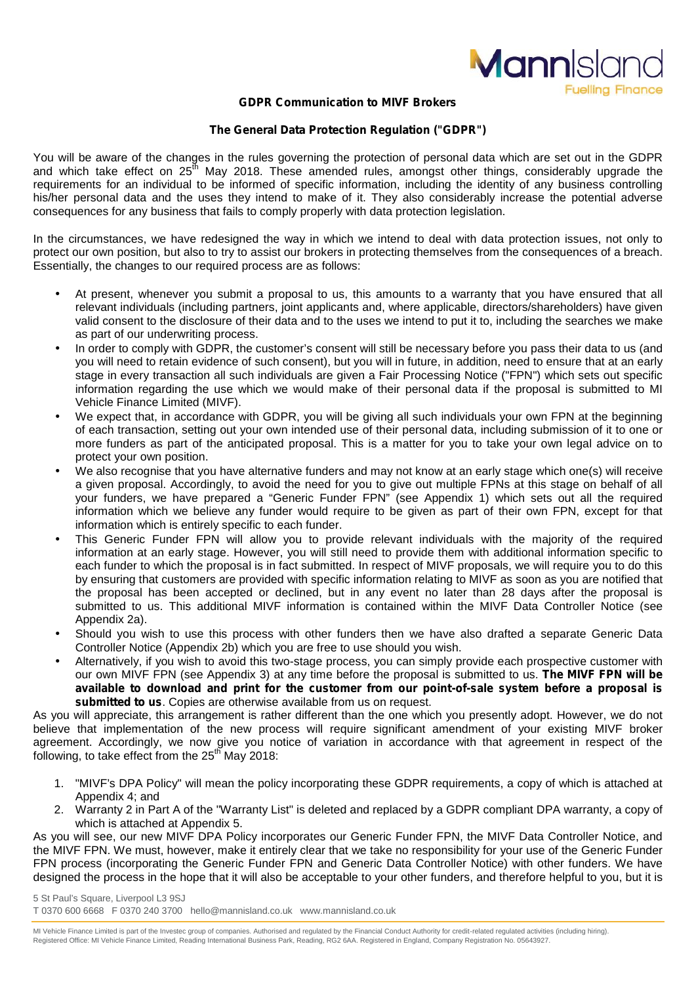

### **GDPR Communication to MIVF Brokers**

#### **The General Data Protection Regulation ("GDPR")**

You will be aware of the changes in the rules governing the protection of personal data which are set out in the GDPR and which take effect on 25<sup>th</sup> May 2018. These amended rules, amongst other things, considerably upgrade the requirements for an individual to be informed of specific information, including the identity of any business controlling his/her personal data and the uses they intend to make of it. They also considerably increase the potential adverse consequences for any business that fails to comply properly with data protection legislation.

In the circumstances, we have redesigned the way in which we intend to deal with data protection issues, not only to protect our own position, but also to try to assist our brokers in protecting themselves from the consequences of a breach. Essentially, the changes to our required process are as follows:

- At present, whenever you submit a proposal to us, this amounts to a warranty that you have ensured that all relevant individuals (including partners, joint applicants and, where applicable, directors/shareholders) have given valid consent to the disclosure of their data and to the uses we intend to put it to, including the searches we make as part of our underwriting process.
- In order to comply with GDPR, the customer's consent will still be necessary before you pass their data to us (and you will need to retain evidence of such consent), but you will in future, in addition, need to ensure that at an early stage in every transaction all such individuals are given a Fair Processing Notice ("FPN") which sets out specific information regarding the use which we would make of their personal data if the proposal is submitted to MI Vehicle Finance Limited (MIVF).
- We expect that, in accordance with GDPR, you will be giving all such individuals your own FPN at the beginning of each transaction, setting out your own intended use of their personal data, including submission of it to one or more funders as part of the anticipated proposal. This is a matter for you to take your own legal advice on to protect your own position.
- We also recognise that you have alternative funders and may not know at an early stage which one(s) will receive a given proposal. Accordingly, to avoid the need for you to give out multiple FPNs at this stage on behalf of all your funders, we have prepared a "Generic Funder FPN" (see Appendix 1) which sets out all the required information which we believe any funder would require to be given as part of their own FPN, except for that information which is entirely specific to each funder.
- This Generic Funder FPN will allow you to provide relevant individuals with the majority of the required information at an early stage. However, you will still need to provide them with additional information specific to each funder to which the proposal is in fact submitted. In respect of MIVF proposals, we will require you to do this by ensuring that customers are provided with specific information relating to MIVF as soon as you are notified that the proposal has been accepted or declined, but in any event no later than 28 days after the proposal is submitted to us. This additional MIVF information is contained within the MIVF Data Controller Notice (see Appendix 2a).
- Should you wish to use this process with other funders then we have also drafted a separate Generic Data Controller Notice (Appendix 2b) which you are free to use should you wish.
- Alternatively, if you wish to avoid this two-stage process, you can simply provide each prospective customer with our own MIVF FPN (see Appendix 3) at any time before the proposal is submitted to us. **The MIVF FPN will be available to download and print for the customer from our point-of-sale system before a proposal is submitted to us**. Copies are otherwise available from us on request.

As you will appreciate, this arrangement is rather different than the one which you presently adopt. However, we do not believe that implementation of the new process will require significant amendment of your existing MIVF broker agreement. Accordingly, we now give you notice of variation in accordance with that agreement in respect of the following, to take effect from the 25<sup>th</sup> May 2018:

- 1. "MIVF's DPA Policy" will mean the policy incorporating these GDPR requirements, a copy of which is attached at Appendix 4; and
- 2. Warranty 2 in Part A of the "Warranty List" is deleted and replaced by a GDPR compliant DPA warranty, a copy of which is attached at Appendix 5.

As you will see, our new MIVF DPA Policy incorporates our Generic Funder FPN, the MIVF Data Controller Notice, and the MIVF FPN. We must, however, make it entirely clear that we take no responsibility for your use of the Generic Funder FPN process (incorporating the Generic Funder FPN and Generic Data Controller Notice) with other funders. We have designed the process in the hope that it will also be acceptable to your other funders, and therefore helpful to you, but it is

5 St Paul's Square, Liverpool L3 9SJ T 0370 600 6668 F 0370 240 3700 hello@mannisland.co.uk www.mannisland.co.uk

MI Vehicle Finance Limited is part of the Investec group of companies. Authorised and regulated by the Financial Conduct Authority for credit-related regulated activities (including hiring). Registered Office: MI Vehicle Finance Limited, Reading International Business Park, Reading, RG2 6AA. Registered in England, Company Registration No. 05643927.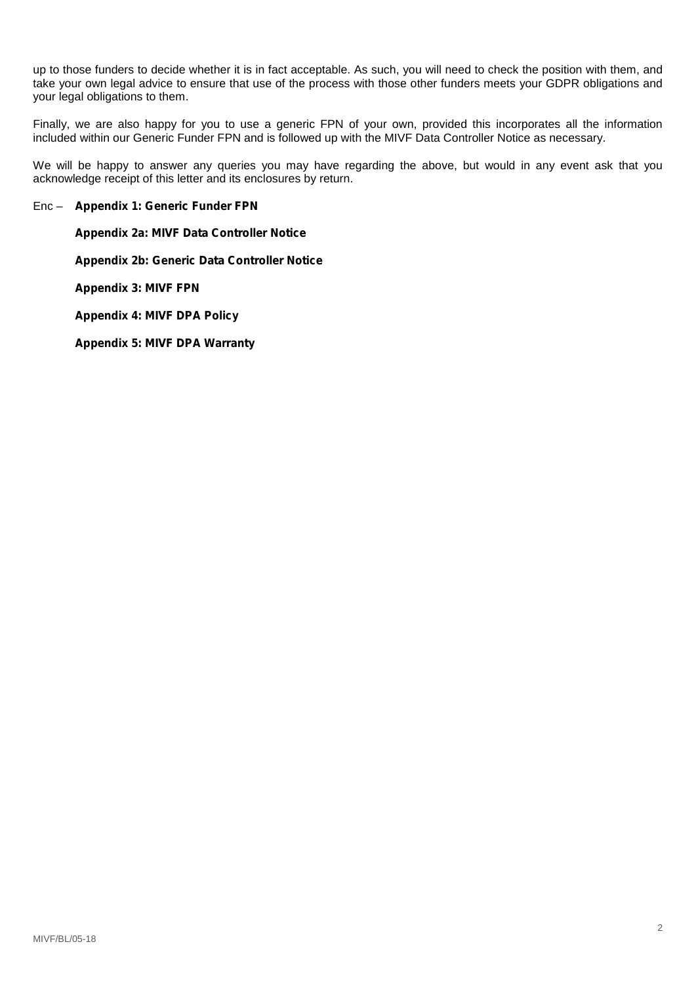up to those funders to decide whether it is in fact acceptable. As such, you will need to check the position with them, and take your own legal advice to ensure that use of the process with those other funders meets your GDPR obligations and your legal obligations to them.

Finally, we are also happy for you to use a generic FPN of your own, provided this incorporates all the information included within our Generic Funder FPN and is followed up with the MIVF Data Controller Notice as necessary.

We will be happy to answer any queries you may have regarding the above, but would in any event ask that you acknowledge receipt of this letter and its enclosures by return.

#### Enc – **Appendix 1: Generic Funder FPN**

**Appendix 2a: MIVF Data Controller Notice**

**Appendix 2b: Generic Data Controller Notice**

**Appendix 3: MIVF FPN**

**Appendix 4: MIVF DPA Policy**

**Appendix 5: MIVF DPA Warranty**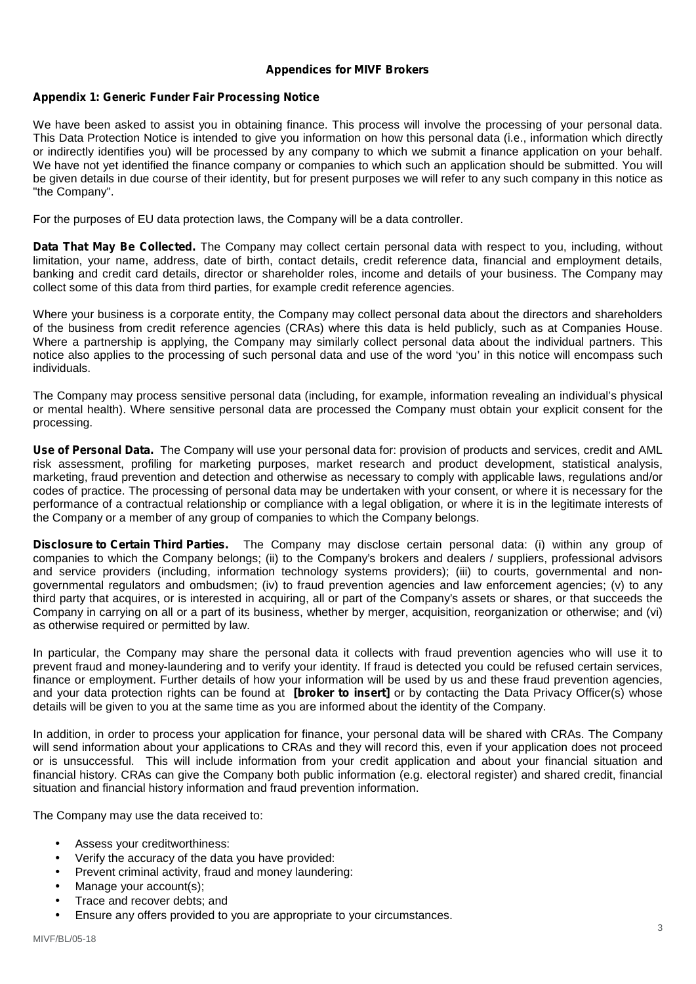## **Appendices for MIVF Brokers**

# **Appendix 1: Generic Funder Fair Processing Notice**

We have been asked to assist you in obtaining finance. This process will involve the processing of your personal data. This Data Protection Notice is intended to give you information on how this personal data (*i.e*., information which directly or indirectly identifies you) will be processed by any company to which we submit a finance application on your behalf. We have not yet identified the finance company or companies to which such an application should be submitted. You will be given details in due course of their identity, but for present purposes we will refer to any such company in this notice as "the Company".

For the purposes of EU data protection laws, the Company will be a data controller.

**Data That May Be Collected.** The Company may collect certain personal data with respect to you, including, without limitation, your name, address, date of birth, contact details, credit reference data, financial and employment details, banking and credit card details, director or shareholder roles, income and details of your business. The Company may collect some of this data from third parties, for example credit reference agencies.

Where your business is a corporate entity, the Company may collect personal data about the directors and shareholders of the business from credit reference agencies (CRAs) where this data is held publicly, such as at Companies House. Where a partnership is applying, the Company may similarly collect personal data about the individual partners. This notice also applies to the processing of such personal data and use of the word 'you' in this notice will encompass such individuals.

The Company may process sensitive personal data (including, for example, information revealing an individual's physical or mental health). Where sensitive personal data are processed the Company must obtain your explicit consent for the processing.

**Use of Personal Data.** The Company will use your personal data for: provision of products and services, credit and AML risk assessment, profiling for marketing purposes, market research and product development, statistical analysis, marketing, fraud prevention and detection and otherwise as necessary to comply with applicable laws, regulations and/or codes of practice. The processing of personal data may be undertaken with your consent, or where it is necessary for the performance of a contractual relationship or compliance with a legal obligation, or where it is in the legitimate interests of the Company or a member of any group of companies to which the Company belongs.

**Disclosure to Certain Third Parties.** The Company may disclose certain personal data: (i) within any group of companies to which the Company belongs; (ii) to the Company's brokers and dealers / suppliers, professional advisors and service providers (including, information technology systems providers); (iii) to courts, governmental and non governmental regulators and ombudsmen; (iv) to fraud prevention agencies and law enforcement agencies; (v) to any third party that acquires, or is interested in acquiring, all or part of the Company's assets or shares, or that succeeds the Company in carrying on all or a part of its business, whether by merger, acquisition, reorganization or otherwise; and (vi) as otherwise required or permitted by law.

In particular, the Company may share the personal data it collects with fraud prevention agencies who will use it to prevent fraud and money-laundering and to verify your identity. If fraud is detected you could be refused certain services, finance or employment. Further details of how your information will be used by us and these fraud prevention agencies, and your data protection rights can be found at **[broker to insert]** or by contacting the Data Privacy Officer(s) whose details will be given to you at the same time as you are informed about the identity of the Company.

In addition, in order to process your application for finance, your personal data will be shared with CRAs. The Company will send information about your applications to CRAs and they will record this, even if your application does not proceed or is unsuccessful. This will include information from your credit application and about your financial situation and financial history. CRAs can give the Company both public information (e.g. electoral register) and shared credit, financial situation and financial history information and fraud prevention information.

The Company may use the data received to:

- Assess your creditworthiness:
- Verify the accuracy of the data you have provided:
- Prevent criminal activity, fraud and money laundering:
- Manage your account(s):
- Trace and recover debts; and
- Ensure any offers provided to you are appropriate to your circumstances.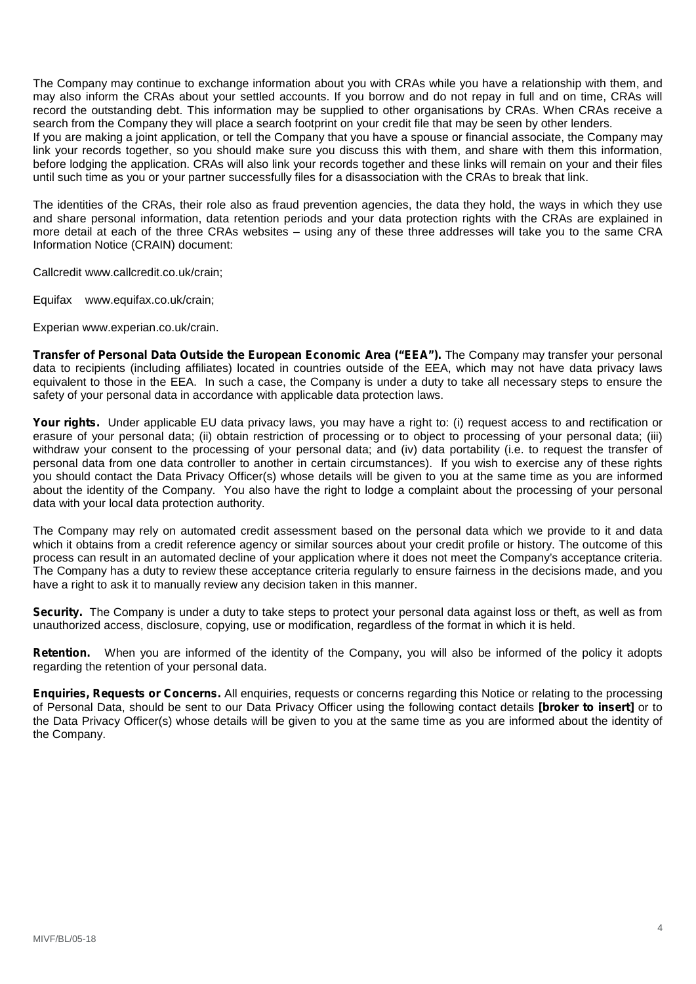The Company may continue to exchange information about you with CRAs while you have a relationship with them, and may also inform the CRAs about your settled accounts. If you borrow and do not repay in full and on time, CRAs will record the outstanding debt. This information may be supplied to other organisations by CRAs. When CRAs receive a search from the Company they will place a search footprint on your credit file that may be seen by other lenders. If you are making a joint application, or tell the Company that you have a spouse or financial associate, the Company may link your records together, so you should make sure you discuss this with them, and share with them this information, before lodging the application. CRAs will also link your records together and these links will remain on your and their files until such time as you or your partner successfully files for a disassociation with the CRAs to break that link.

The identities of the CRAs, their role also as fraud prevention agencies, the data they hold, the ways in which they use and share personal information, data retention periods and your data protection rights with the CRAs are explained in more detail at each of the three CRAs websites – using any of these three addresses will take you to the same CRA Information Notice (CRAIN) document:

Callcredit www.callcredit.co.uk/crain;

Equifax www.equifax.co.uk/crain;

Experian www.experian.co.uk/crain.

**Transfer of Personal Data Outside the European Economic Area ("EEA").** The Company may transfer your personal data to recipients (including affiliates) located in countries outside of the EEA, which may not have data privacy laws equivalent to those in the EEA. In such a case, the Company is under a duty to take all necessary steps to ensure the safety of your personal data in accordance with applicable data protection laws.

**Your rights.** Under applicable EU data privacy laws, you may have a right to: (i) request access to and rectification or erasure of your personal data; (ii) obtain restriction of processing or to object to processing of your personal data; (iii) withdraw your consent to the processing of your personal data; and (iv) data portability (i.e. to request the transfer of personal data from one data controller to another in certain circumstances). If you wish to exercise any of these rights you should contact the Data Privacy Officer(s) whose details will be given to you at the same time as you are informed about the identity of the Company. You also have the right to lodge a complaint about the processing of your personal data with your local data protection authority.

The Company may rely on automated credit assessment based on the personal data which we provide to it and data which it obtains from a credit reference agency or similar sources about your credit profile or history. The outcome of this process can result in an automated decline of your application where it does not meet the Company's acceptance criteria. The Company has a duty to review these acceptance criteria regularly to ensure fairness in the decisions made, and you have a right to ask it to manually review any decision taken in this manner.

**Security.** The Company is under a duty to take steps to protect your personal data against loss or theft, as well as from unauthorized access, disclosure, copying, use or modification, regardless of the format in which it is held.

**Retention.** When you are informed of the identity of the Company, you will also be informed of the policy it adopts regarding the retention of your personal data.

**Enquiries, Requests or Concerns.** All enquiries, requests or concerns regarding this Notice or relating to the processing of Personal Data, should be sent to our Data Privacy Officer using the following contact details **[broker to insert]** or to the Data Privacy Officer(s) whose details will be given to you at the same time as you are informed about the identity of the Company.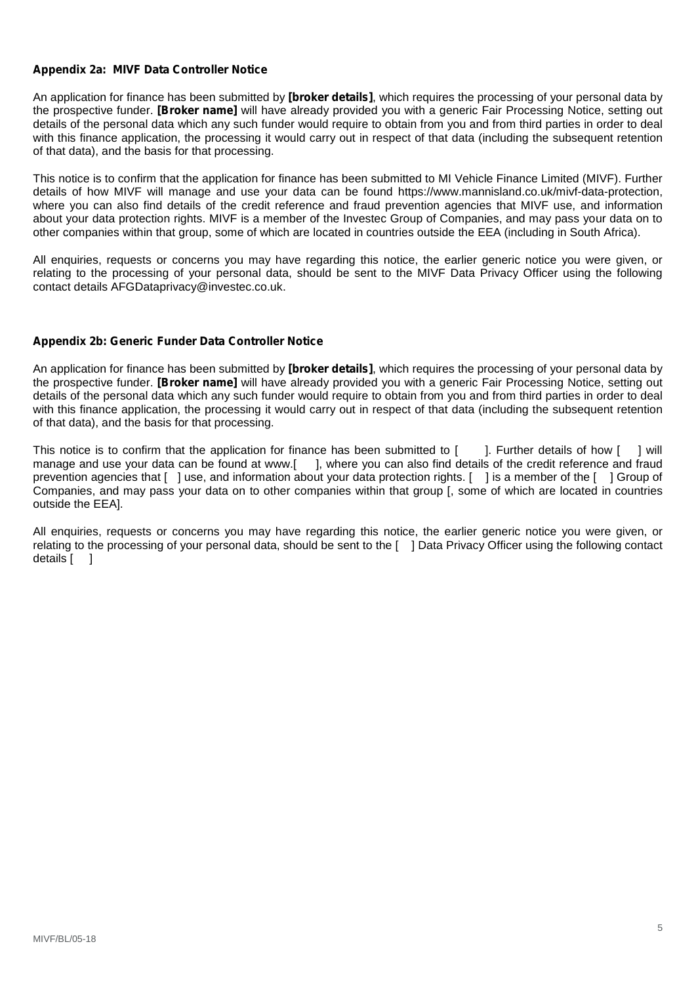# **Appendix 2a: MIVF Data Controller Notice**

An application for finance has been submitted by **[broker details]**, which requires the processing of your personal data by the prospective funder. **[Broker name]** will have already provided you with a generic Fair Processing Notice, setting out details of the personal data which any such funder would require to obtain from you and from third parties in order to deal with this finance application, the processing it would carry out in respect of that data (including the subsequent retention of that data), and the basis for that processing.

This notice is to confirm that the application for finance has been submitted to MI Vehicle Finance Limited (MIVF). Further details of how MIVF will manage and use your data can be found https://www.mannisland.co.uk/mivf-data-protection, where you can also find details of the credit reference and fraud prevention agencies that MIVF use, and information about your data protection rights. MIVF is a member of the Investec Group of Companies, and may pass your data on to other companies within that group, some of which are located in countries outside the EEA (including in South Africa).

All enquiries, requests or concerns you may have regarding this notice, the earlier generic notice you were given, or relating to the processing of your personal data, should be sent to the MIVF Data Privacy Officer using the following contact details AFGDataprivacy@investec.co.uk.

## **Appendix 2b: Generic Funder Data Controller Notice**

An application for finance has been submitted by **[broker details]**, which requires the processing of your personal data by the prospective funder. **[Broker name]** will have already provided you with a generic Fair Processing Notice, setting out details of the personal data which any such funder would require to obtain from you and from third parties in order to deal with this finance application, the processing it would carry out in respect of that data (including the subsequent retention of that data), and the basis for that processing.

This notice is to confirm that the application for finance has been submitted to  $[$  ]. Further details of how  $[$  ] will manage and use your data can be found at www.[ ], where you can also find details of the credit reference and fraud prevention agencies that [ ] use, and information about your data protection rights. [ ] is a member of the [ ] Group of Companies, and may pass your data on to other companies within that group [, some of which are located in countries outside the EEA].

All enquiries, requests or concerns you may have regarding this notice, the earlier generic notice you were given, or relating to the processing of your personal data, should be sent to the [ ] Data Privacy Officer using the following contact details [ ]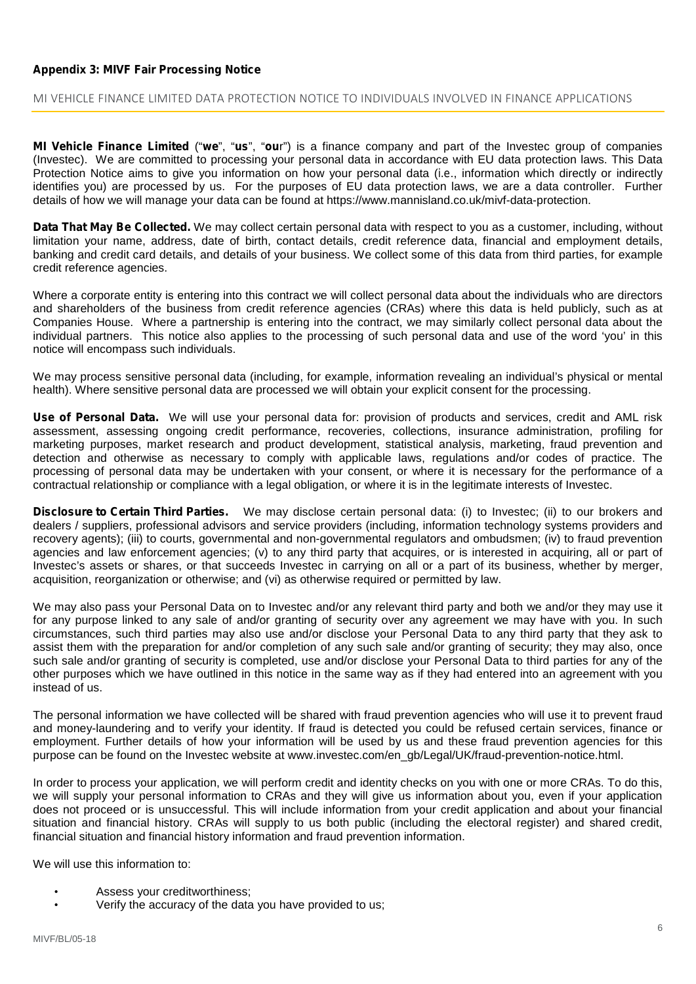# **Appendix 3: MIVF Fair Processing Notice**

#### **MI VEHICLE FINANCE LIMITED DATA PROTECTION NOTICE TO INDIVIDUALS INVOLVED IN FINANCE APPLICATIONS**

**MI Vehicle Finance Limited** ("**we**", "**us**", "**ou**r") is a finance company and part of the Investec group of companies (Investec). We are committed to processing your personal data in accordance with EU data protection laws. This Data Protection Notice aims to give you information on how your personal data (*i.e*., information which directly or indirectly identifies you) are processed by us. For the purposes of EU data protection laws, we are a data controller. Further details of how we will manage your data can be found at https://www.mannisland.co.uk/mivf-data-protection.

**Data That May Be Collected.** We may collect certain personal data with respect to you as a customer, including, without limitation your name, address, date of birth, contact details, credit reference data, financial and employment details, banking and credit card details, and details of your business. We collect some of this data from third parties, for example credit reference agencies.

Where a corporate entity is entering into this contract we will collect personal data about the individuals who are directors and shareholders of the business from credit reference agencies (CRAs) where this data is held publicly, such as at Companies House. Where a partnership is entering into the contract, we may similarly collect personal data about the individual partners. This notice also applies to the processing of such personal data and use of the word 'you' in this notice will encompass such individuals.

We may process sensitive personal data (including, for example, information revealing an individual's physical or mental health). Where sensitive personal data are processed we will obtain your explicit consent for the processing.

**Use of Personal Data.** We will use your personal data for: provision of products and services, credit and AML risk assessment, assessing ongoing credit performance, recoveries, collections, insurance administration, profiling for marketing purposes, market research and product development, statistical analysis, marketing, fraud prevention and detection and otherwise as necessary to comply with applicable laws, regulations and/or codes of practice. The processing of personal data may be undertaken with your consent, or where it is necessary for the performance of a contractual relationship or compliance with a legal obligation, or where it is in the legitimate interests of Investec.

**Disclosure to Certain Third Parties.** We may disclose certain personal data: (i) to Investec; (ii) to our brokers and dealers / suppliers, professional advisors and service providers (including, information technology systems providers and recovery agents); (iii) to courts, governmental and non-governmental regulators and ombudsmen; (iv) to fraud prevention agencies and law enforcement agencies; (v) to any third party that acquires, or is interested in acquiring, all or part of Investec's assets or shares, or that succeeds Investec in carrying on all or a part of its business, whether by merger, acquisition, reorganization or otherwise; and (vi) as otherwise required or permitted by law.

We may also pass your Personal Data on to Investec and/or any relevant third party and both we and/or they may use it for any purpose linked to any sale of and/or granting of security over any agreement we may have with you. In such circumstances, such third parties may also use and/or disclose your Personal Data to any third party that they ask to assist them with the preparation for and/or completion of any such sale and/or granting of security; they may also, once such sale and/or granting of security is completed, use and/or disclose your Personal Data to third parties for any of the other purposes which we have outlined in this notice in the same way as if they had entered into an agreement with you instead of us.

The personal information we have collected will be shared with fraud prevention agencies who will use it to prevent fraud and money-laundering and to verify your identity. If fraud is detected you could be refused certain services, finance or employment. Further details of how your information will be used by us and these fraud prevention agencies for this purpose can be found on the Investec website at www.investec.com/en\_gb/Legal/UK/fraud-prevention-notice.html.

In order to process your application, we will perform credit and identity checks on you with one or more CRAs. To do this, we will supply your personal information to CRAs and they will give us information about you, even if your application does not proceed or is unsuccessful. This will include information from your credit application and about your financial situation and financial history. CRAs will supply to us both public (including the electoral register) and shared credit, financial situation and financial history information and fraud prevention information.

We will use this information to:

- Assess your creditworthiness:
- Verify the accuracy of the data you have provided to us;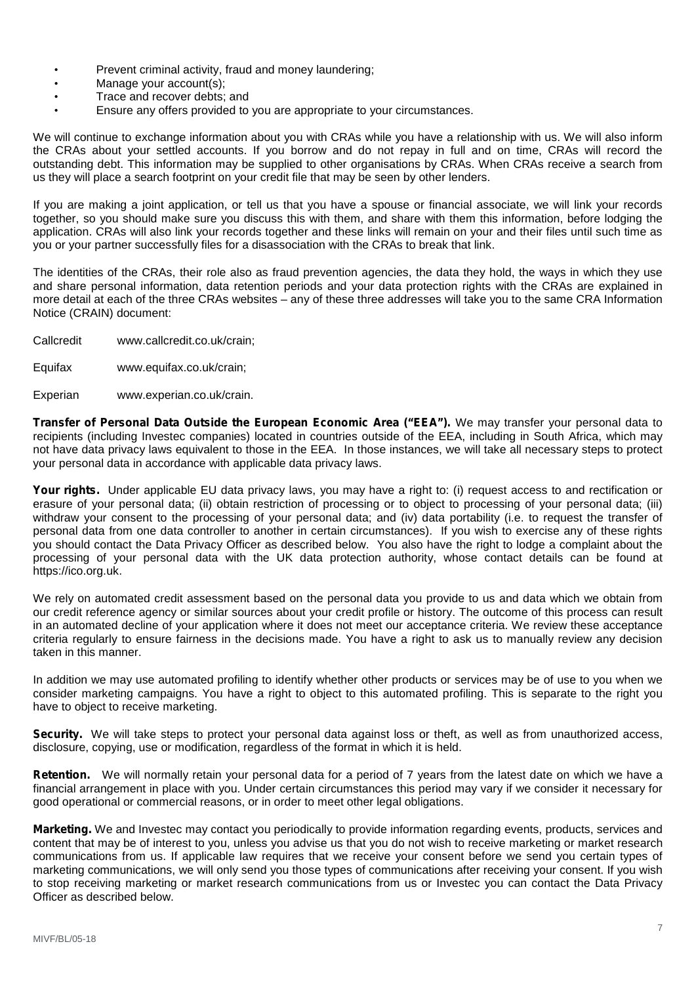- Prevent criminal activity, fraud and money laundering;
- Manage your account(s);
- Trace and recover debts; and
- Ensure any offers provided to you are appropriate to your circumstances.

We will continue to exchange information about you with CRAs while you have a relationship with us. We will also inform the CRAs about your settled accounts. If you borrow and do not repay in full and on time, CRAs will record the outstanding debt. This information may be supplied to other organisations by CRAs. When CRAs receive a search from us they will place a search footprint on your credit file that may be seen by other lenders.

If you are making a joint application, or tell us that you have a spouse or financial associate, we will link your records together, so you should make sure you discuss this with them, and share with them this information, before lodging the application. CRAs will also link your records together and these links will remain on your and their files until such time as you or your partner successfully files for a disassociation with the CRAs to break that link.

The identities of the CRAs, their role also as fraud prevention agencies, the data they hold, the ways in which they use and share personal information, data retention periods and your data protection rights with the CRAs are explained in more detail at each of the three CRAs websites – any of these three addresses will take you to the same CRA Information Notice (CRAIN) document:

Callcredit www.callcredit.co.uk/crain;

Equifax www.equifax.co.uk/crain;

Experian www.experian.co.uk/crain.

**Transfer of Personal Data Outside the European Economic Area ("EEA").** We may transfer your personal data to recipients (including Investec companies) located in countries outside of the EEA, including in South Africa, which may not have data privacy laws equivalent to those in the EEA. In those instances, we will take all necessary steps to protect your personal data in accordance with applicable data privacy laws.

**Your rights.** Under applicable EU data privacy laws, you may have a right to: (i) request access to and rectification or erasure of your personal data; (ii) obtain restriction of processing or to object to processing of your personal data; (iii) withdraw your consent to the processing of your personal data; and (iv) data portability (i.e. to request the transfer of personal data from one data controller to another in certain circumstances). If you wish to exercise any of these rights you should contact the Data Privacy Officer as described below. You also have the right to lodge a complaint about the processing of your personal data with the UK data protection authority, whose contact details can be found at https://ico.org.uk.

We rely on automated credit assessment based on the personal data you provide to us and data which we obtain from our credit reference agency or similar sources about your credit profile or history. The outcome of this process can result in an automated decline of your application where it does not meet our acceptance criteria. We review these acceptance criteria regularly to ensure fairness in the decisions made. You have a right to ask us to manually review any decision taken in this manner.

In addition we may use automated profiling to identify whether other products or services may be of use to you when we consider marketing campaigns. You have a right to object to this automated profiling. This is separate to the right you have to object to receive marketing.

**Security.** We will take steps to protect your personal data against loss or theft, as well as from unauthorized access, disclosure, copying, use or modification, regardless of the format in which it is held.

**Retention.** We will normally retain your personal data for a period of 7 years from the latest date on which we have a financial arrangement in place with you. Under certain circumstances this period may vary if we consider it necessary for good operational or commercial reasons, or in order to meet other legal obligations.

**Marketing.** We and Investec may contact you periodically to provide information regarding events, products, services and content that may be of interest to you, unless you advise us that you do not wish to receive marketing or market research communications from us. If applicable law requires that we receive your consent before we send you certain types of marketing communications, we will only send you those types of communications after receiving your consent. If you wish to stop receiving marketing or market research communications from us or Investec you can contact the Data Privacy Officer as described below.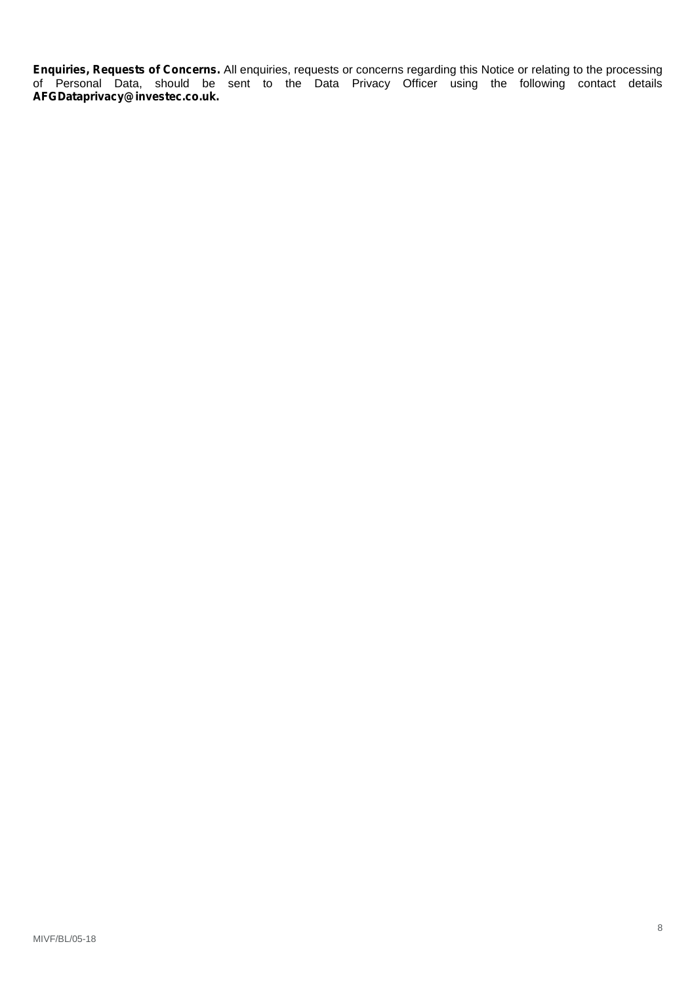**Enquiries, Requests of Concerns.** All enquiries, requests or concerns regarding this Notice or relating to the processing of Personal Data, should be sent to the Data Privacy Officer using the following contact details **AFGDataprivacy@investec.co.uk.**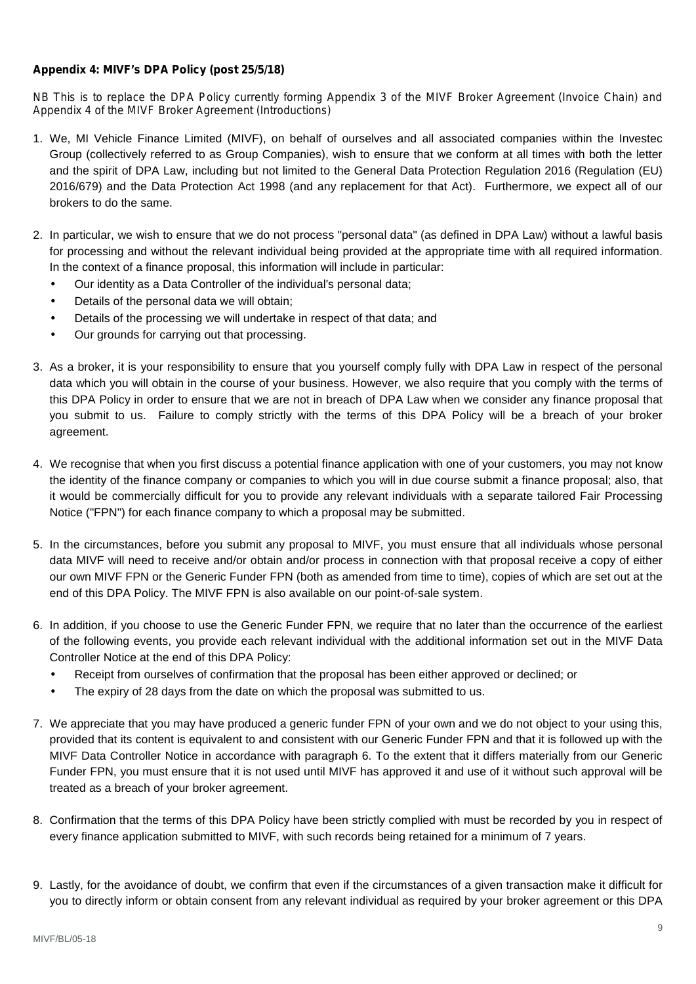# **Appendix 4: MIVF's DPA Policy (post 25/5/18)**

*NB This is to replace the DPA Policy currently forming Appendix 3 of the MIVF Broker Agreement (Invoice Chain) and Appendix 4 of the MIVF Broker Agreement (Introductions)*

- 1. We, MI Vehicle Finance Limited (MIVF), on behalf of ourselves and all associated companies within the Investec Group (collectively referred to as Group Companies), wish to ensure that we conform at all times with both the letter and the spirit of DPA Law, including but not limited to the General Data Protection Regulation 2016 (Regulation (EU) 2016/679) and the Data Protection Act 1998 (and any replacement for that Act). Furthermore, we expect all of our brokers to do the same.
- 2. In particular, we wish to ensure that we do not process "personal data" (as defined in DPA Law) without a lawful basis for processing and without the relevant individual being provided at the appropriate time with all required information. In the context of a finance proposal, this information will include in particular:
	- $\int$  Our identity as a Data Controller of the individual's personal data;
	- Details of the personal data we will obtain;
	- Details of the processing we will undertake in respect of that data; and
	- Our grounds for carrying out that processing.
- 3. As a broker, it is your responsibility to ensure that you yourself comply fully with DPA Law in respect of the personal data which you will obtain in the course of your business. However, we also require that you comply with the terms of this DPA Policy in order to ensure that we are not in breach of DPA Law when we consider any finance proposal that you submit to us. Failure to comply strictly with the terms of this DPA Policy will be a breach of your broker agreement.
- 4. We recognise that when you first discuss a potential finance application with one of your customers, you may not know the identity of the finance company or companies to which you will in due course submit a finance proposal; also, that it would be commercially difficult for you to provide any relevant individuals with a separate tailored Fair Processing Notice ("FPN") for each finance company to which a proposal may be submitted.
- 5. In the circumstances, before you submit any proposal to MIVF, you must ensure that all individuals whose personal data MIVF will need to receive and/or obtain and/or process in connection with that proposal receive a copy of either our own MIVF FPN or the Generic Funder FPN (both as amended from time to time), copies of which are set out at the end of this DPA Policy. The MIVF FPN is also available on our point-of-sale system.
- 6. In addition, if you choose to use the Generic Funder FPN, we require that no later than the occurrence of the earliest of the following events, you provide each relevant individual with the additional information set out in the MIVF Data Controller Notice at the end of this DPA Policy:
	- Receipt from ourselves of confirmation that the proposal has been either approved or declined; or
	- The expiry of 28 days from the date on which the proposal was submitted to us.
- 7. We appreciate that you may have produced a generic funder FPN of your own and we do not object to your using this, provided that its content is equivalent to and consistent with our Generic Funder FPN and that it is followed up with the MIVF Data Controller Notice in accordance with paragraph 6. To the extent that it differs materially from our Generic Funder FPN, you must ensure that it is not used until MIVF has approved it and use of it without such approval will be treated as a breach of your broker agreement.
- 8. Confirmation that the terms of this DPA Policy have been strictly complied with must be recorded by you in respect of every finance application submitted to MIVF, with such records being retained for a minimum of 7 years.
- 9. Lastly, for the avoidance of doubt, we confirm that even if the circumstances of a given transaction make it difficult for you to directly inform or obtain consent from any relevant individual as required by your broker agreement or this DPA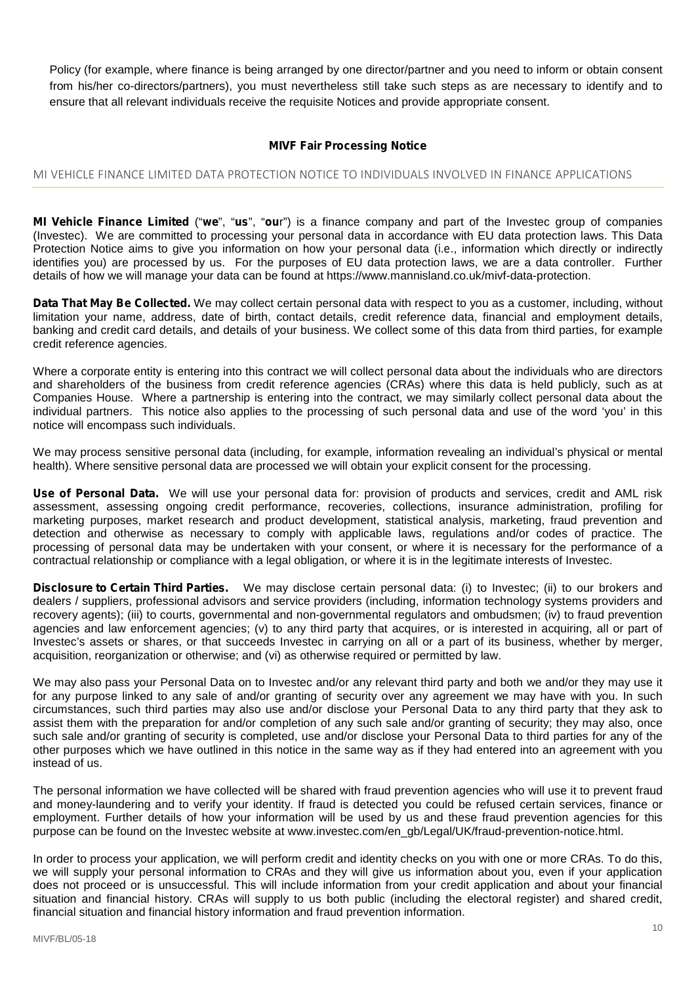Policy (for example, where finance is being arranged by one director/partner and you need to inform or obtain consent from his/her co-directors/partners), you must nevertheless still take such steps as are necessary to identify and to ensure that all relevant individuals receive the requisite Notices and provide appropriate consent.

## **MIVF Fair Processing Notice**

# **MI VEHICLE FINANCE LIMITED DATA PROTECTION NOTICE TO INDIVIDUALS INVOLVED IN FINANCE APPLICATIONS**

**MI Vehicle Finance Limited** ("**we**", "**us**", "**ou**r") is a finance company and part of the Investec group of companies (Investec). We are committed to processing your personal data in accordance with EU data protection laws. This Data Protection Notice aims to give you information on how your personal data (*i.e*., information which directly or indirectly identifies you) are processed by us. For the purposes of EU data protection laws, we are a data controller. Further details of how we will manage your data can be found at https://www.mannisland.co.uk/mivf-data-protection.

**Data That May Be Collected.** We may collect certain personal data with respect to you as a customer, including, without limitation your name, address, date of birth, contact details, credit reference data, financial and employment details, banking and credit card details, and details of your business. We collect some of this data from third parties, for example credit reference agencies.

Where a corporate entity is entering into this contract we will collect personal data about the individuals who are directors and shareholders of the business from credit reference agencies (CRAs) where this data is held publicly, such as at Companies House. Where a partnership is entering into the contract, we may similarly collect personal data about the individual partners. This notice also applies to the processing of such personal data and use of the word 'you' in this notice will encompass such individuals.

We may process sensitive personal data (including, for example, information revealing an individual's physical or mental health). Where sensitive personal data are processed we will obtain your explicit consent for the processing.

**Use of Personal Data.** We will use your personal data for: provision of products and services, credit and AML risk assessment, assessing ongoing credit performance, recoveries, collections, insurance administration, profiling for marketing purposes, market research and product development, statistical analysis, marketing, fraud prevention and detection and otherwise as necessary to comply with applicable laws, regulations and/or codes of practice. The processing of personal data may be undertaken with your consent, or where it is necessary for the performance of a contractual relationship or compliance with a legal obligation, or where it is in the legitimate interests of Investec.

**Disclosure to Certain Third Parties.** We may disclose certain personal data: (i) to Investec; (ii) to our brokers and dealers / suppliers, professional advisors and service providers (including, information technology systems providers and recovery agents); (iii) to courts, governmental and non-governmental regulators and ombudsmen; (iv) to fraud prevention agencies and law enforcement agencies; (v) to any third party that acquires, or is interested in acquiring, all or part of Investec's assets or shares, or that succeeds Investec in carrying on all or a part of its business, whether by merger, acquisition, reorganization or otherwise; and (vi) as otherwise required or permitted by law.

We may also pass your Personal Data on to Investec and/or any relevant third party and both we and/or they may use it for any purpose linked to any sale of and/or granting of security over any agreement we may have with you. In such circumstances, such third parties may also use and/or disclose your Personal Data to any third party that they ask to assist them with the preparation for and/or completion of any such sale and/or granting of security; they may also, once such sale and/or granting of security is completed, use and/or disclose your Personal Data to third parties for any of the other purposes which we have outlined in this notice in the same way as if they had entered into an agreement with you instead of us.

The personal information we have collected will be shared with fraud prevention agencies who will use it to prevent fraud and money-laundering and to verify your identity. If fraud is detected you could be refused certain services, finance or employment. Further details of how your information will be used by us and these fraud prevention agencies for this purpose can be found on the Investec website at www.investec.com/en\_gb/Legal/UK/fraud-prevention-notice.html.

In order to process your application, we will perform credit and identity checks on you with one or more CRAs. To do this, we will supply your personal information to CRAs and they will give us information about you, even if your application does not proceed or is unsuccessful. This will include information from your credit application and about your financial situation and financial history. CRAs will supply to us both public (including the electoral register) and shared credit, financial situation and financial history information and fraud prevention information.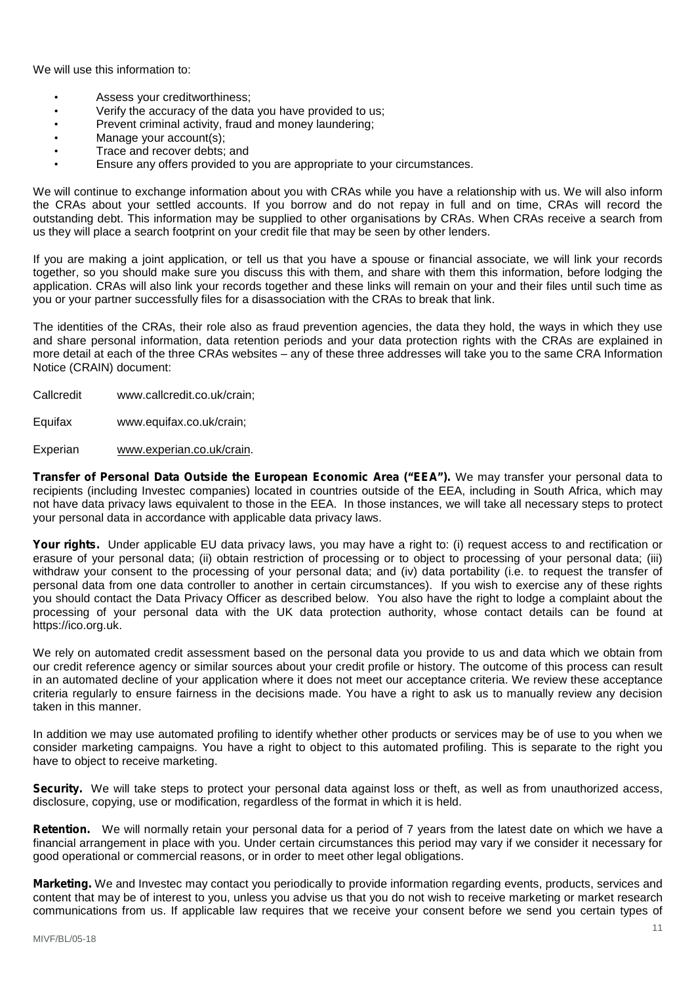We will use this information to:

- Assess your creditworthiness:
- Verify the accuracy of the data you have provided to us;
- Prevent criminal activity, fraud and money laundering;
- Manage your account(s):
- Trace and recover debts; and
- Ensure any offers provided to you are appropriate to your circumstances.

We will continue to exchange information about you with CRAs while you have a relationship with us. We will also inform the CRAs about your settled accounts. If you borrow and do not repay in full and on time, CRAs will record the outstanding debt. This information may be supplied to other organisations by CRAs. When CRAs receive a search from us they will place a search footprint on your credit file that may be seen by other lenders.

If you are making a joint application, or tell us that you have a spouse or financial associate, we will link your records together, so you should make sure you discuss this with them, and share with them this information, before lodging the application. CRAs will also link your records together and these links will remain on your and their files until such time as you or your partner successfully files for a disassociation with the CRAs to break that link.

The identities of the CRAs, their role also as fraud prevention agencies, the data they hold, the ways in which they use and share personal information, data retention periods and your data protection rights with the CRAs are explained in more detail at each of the three CRAs websites – any of these three addresses will take you to the same CRA Information Notice (CRAIN) document:

- Callcredit www.callcredit.co.uk/crain;
- Equifax www.equifax.co.uk/crain;

Experian www.experian.co.uk/crain.

**Transfer of Personal Data Outside the European Economic Area ("EEA").** We may transfer your personal data to recipients (including Investec companies) located in countries outside of the EEA, including in South Africa, which may not have data privacy laws equivalent to those in the EEA. In those instances, we will take all necessary steps to protect your personal data in accordance with applicable data privacy laws.

**Your rights.** Under applicable EU data privacy laws, you may have a right to: (i) request access to and rectification or erasure of your personal data; (ii) obtain restriction of processing or to object to processing of your personal data; (iii) withdraw your consent to the processing of your personal data; and (iv) data portability (i.e. to request the transfer of personal data from one data controller to another in certain circumstances). If you wish to exercise any of these rights you should contact the Data Privacy Officer as described below. You also have the right to lodge a complaint about the processing of your personal data with the UK data protection authority, whose contact details can be found at https://ico.org.uk.

We rely on automated credit assessment based on the personal data you provide to us and data which we obtain from our credit reference agency or similar sources about your credit profile or history. The outcome of this process can result in an automated decline of your application where it does not meet our acceptance criteria. We review these acceptance criteria regularly to ensure fairness in the decisions made. You have a right to ask us to manually review any decision taken in this manner.

In addition we may use automated profiling to identify whether other products or services may be of use to you when we consider marketing campaigns. You have a right to object to this automated profiling. This is separate to the right you have to object to receive marketing.

**Security.** We will take steps to protect your personal data against loss or theft, as well as from unauthorized access, disclosure, copying, use or modification, regardless of the format in which it is held.

**Retention.** We will normally retain your personal data for a period of 7 years from the latest date on which we have a financial arrangement in place with you. Under certain circumstances this period may vary if we consider it necessary for good operational or commercial reasons, or in order to meet other legal obligations.

**Marketing.** We and Investec may contact you periodically to provide information regarding events, products, services and content that may be of interest to you, unless you advise us that you do not wish to receive marketing or market research communications from us. If applicable law requires that we receive your consent before we send you certain types of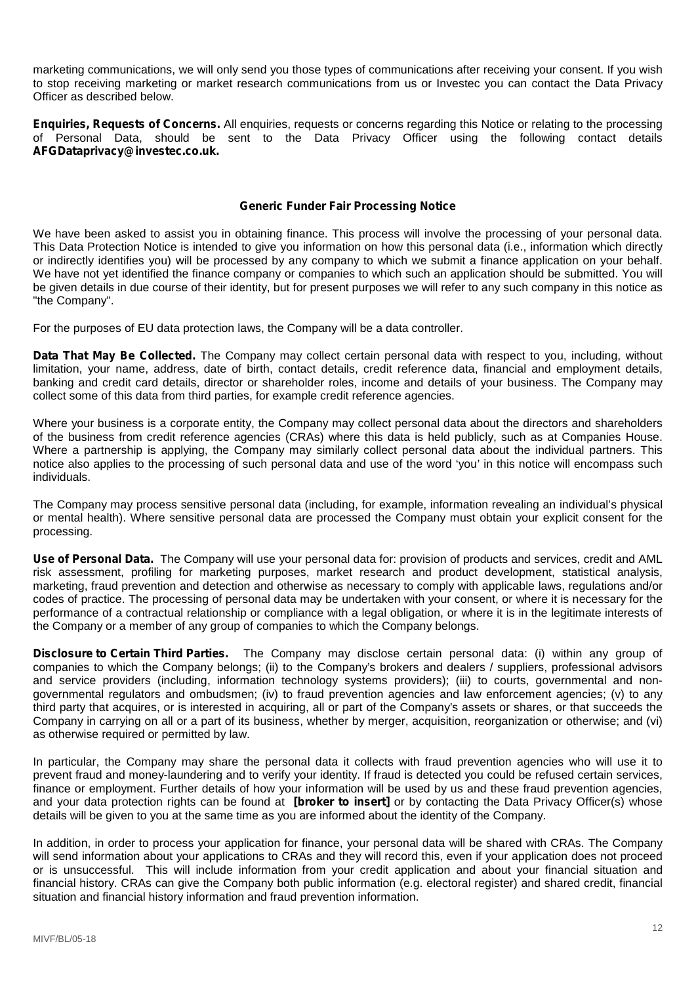marketing communications, we will only send you those types of communications after receiving your consent. If you wish to stop receiving marketing or market research communications from us or Investec you can contact the Data Privacy Officer as described below.

**Enquiries, Requests of Concerns.** All enquiries, requests or concerns regarding this Notice or relating to the processing of Personal Data, should be sent to the Data Privacy Officer using the following contact details **AFGDataprivacy@investec.co.uk.**

#### **Generic Funder Fair Processing Notice**

We have been asked to assist you in obtaining finance. This process will involve the processing of your personal data. This Data Protection Notice is intended to give you information on how this personal data (*i.e*., information which directly or indirectly identifies you) will be processed by any company to which we submit a finance application on your behalf. We have not yet identified the finance company or companies to which such an application should be submitted. You will be given details in due course of their identity, but for present purposes we will refer to any such company in this notice as "the Company".

For the purposes of EU data protection laws, the Company will be a data controller.

**Data That May Be Collected.** The Company may collect certain personal data with respect to you, including, without limitation, your name, address, date of birth, contact details, credit reference data, financial and employment details, banking and credit card details, director or shareholder roles, income and details of your business. The Company may collect some of this data from third parties, for example credit reference agencies.

Where your business is a corporate entity, the Company may collect personal data about the directors and shareholders of the business from credit reference agencies (CRAs) where this data is held publicly, such as at Companies House. Where a partnership is applying, the Company may similarly collect personal data about the individual partners. This notice also applies to the processing of such personal data and use of the word 'you' in this notice will encompass such individuals.

The Company may process sensitive personal data (including, for example, information revealing an individual's physical or mental health). Where sensitive personal data are processed the Company must obtain your explicit consent for the processing.

**Use of Personal Data.** The Company will use your personal data for: provision of products and services, credit and AML risk assessment, profiling for marketing purposes, market research and product development, statistical analysis, marketing, fraud prevention and detection and otherwise as necessary to comply with applicable laws, regulations and/or codes of practice. The processing of personal data may be undertaken with your consent, or where it is necessary for the performance of a contractual relationship or compliance with a legal obligation, or where it is in the legitimate interests of the Company or a member of any group of companies to which the Company belongs.

**Disclosure to Certain Third Parties.** The Company may disclose certain personal data: (i) within any group of companies to which the Company belongs; (ii) to the Company's brokers and dealers / suppliers, professional advisors and service providers (including, information technology systems providers); (iii) to courts, governmental and non governmental regulators and ombudsmen; (iv) to fraud prevention agencies and law enforcement agencies; (v) to any third party that acquires, or is interested in acquiring, all or part of the Company's assets or shares, or that succeeds the Company in carrying on all or a part of its business, whether by merger, acquisition, reorganization or otherwise; and (vi) as otherwise required or permitted by law.

In particular, the Company may share the personal data it collects with fraud prevention agencies who will use it to prevent fraud and money-laundering and to verify your identity. If fraud is detected you could be refused certain services, finance or employment. Further details of how your information will be used by us and these fraud prevention agencies, and your data protection rights can be found at **[broker to insert]** or by contacting the Data Privacy Officer(s) whose details will be given to you at the same time as you are informed about the identity of the Company.

In addition, in order to process your application for finance, your personal data will be shared with CRAs. The Company will send information about your applications to CRAs and they will record this, even if your application does not proceed or is unsuccessful. This will include information from your credit application and about your financial situation and financial history. CRAs can give the Company both public information (e.g. electoral register) and shared credit, financial situation and financial history information and fraud prevention information.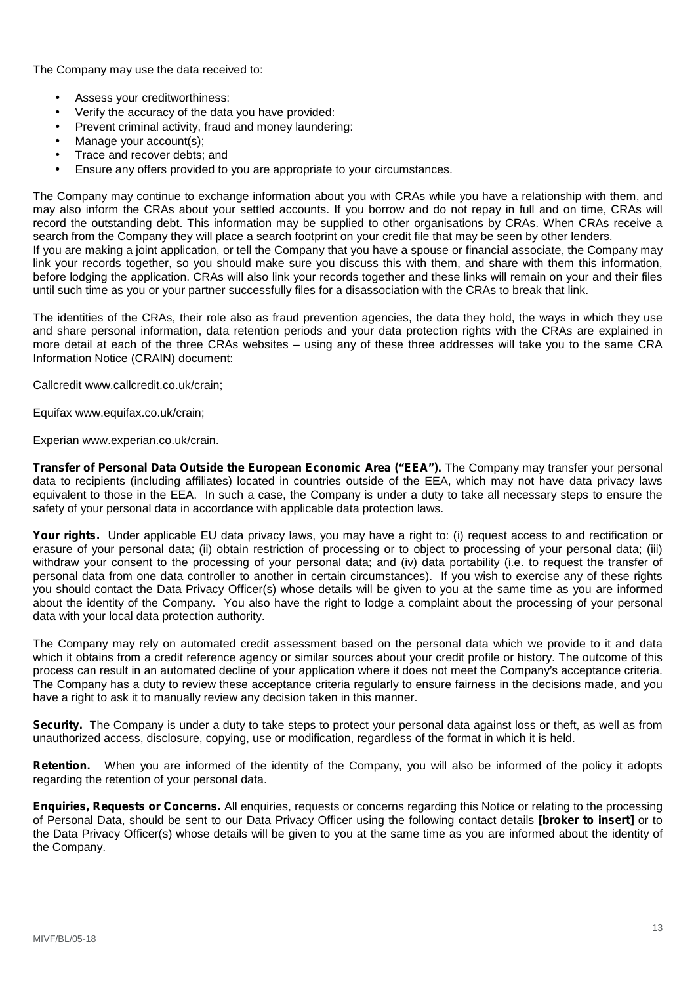The Company may use the data received to:

- Assess your creditworthiness:
- Verify the accuracy of the data you have provided:
- Prevent criminal activity, fraud and money laundering:
- Manage your account(s);
- Trace and recover debts; and
- Ensure any offers provided to you are appropriate to your circumstances.

The Company may continue to exchange information about you with CRAs while you have a relationship with them, and may also inform the CRAs about your settled accounts. If you borrow and do not repay in full and on time, CRAs will record the outstanding debt. This information may be supplied to other organisations by CRAs. When CRAs receive a search from the Company they will place a search footprint on your credit file that may be seen by other lenders.

If you are making a joint application, or tell the Company that you have a spouse or financial associate, the Company may link your records together, so you should make sure you discuss this with them, and share with them this information, before lodging the application. CRAs will also link your records together and these links will remain on your and their files until such time as you or your partner successfully files for a disassociation with the CRAs to break that link.

The identities of the CRAs, their role also as fraud prevention agencies, the data they hold, the ways in which they use and share personal information, data retention periods and your data protection rights with the CRAs are explained in more detail at each of the three CRAs websites – using any of these three addresses will take you to the same CRA Information Notice (CRAIN) document:

Callcredit www.callcredit.co.uk/crain;

Equifax www.equifax.co.uk/crain;

Experian www.experian.co.uk/crain.

**Transfer of Personal Data Outside the European Economic Area ("EEA").** The Company may transfer your personal data to recipients (including affiliates) located in countries outside of the EEA, which may not have data privacy laws equivalent to those in the EEA. In such a case, the Company is under a duty to take all necessary steps to ensure the safety of your personal data in accordance with applicable data protection laws.

**Your rights.** Under applicable EU data privacy laws, you may have a right to: (i) request access to and rectification or erasure of your personal data; (ii) obtain restriction of processing or to object to processing of your personal data; (iii) withdraw your consent to the processing of your personal data; and (iv) data portability (i.e. to request the transfer of personal data from one data controller to another in certain circumstances). If you wish to exercise any of these rights you should contact the Data Privacy Officer(s) whose details will be given to you at the same time as you are informed about the identity of the Company. You also have the right to lodge a complaint about the processing of your personal data with your local data protection authority.

The Company may rely on automated credit assessment based on the personal data which we provide to it and data which it obtains from a credit reference agency or similar sources about your credit profile or history. The outcome of this process can result in an automated decline of your application where it does not meet the Company's acceptance criteria. The Company has a duty to review these acceptance criteria regularly to ensure fairness in the decisions made, and you have a right to ask it to manually review any decision taken in this manner.

**Security.** The Company is under a duty to take steps to protect your personal data against loss or theft, as well as from unauthorized access, disclosure, copying, use or modification, regardless of the format in which it is held.

**Retention.** When you are informed of the identity of the Company, you will also be informed of the policy it adopts regarding the retention of your personal data.

**Enquiries, Requests or Concerns.** All enquiries, requests or concerns regarding this Notice or relating to the processing of Personal Data, should be sent to our Data Privacy Officer using the following contact details **[broker to insert]** or to the Data Privacy Officer(s) whose details will be given to you at the same time as you are informed about the identity of the Company.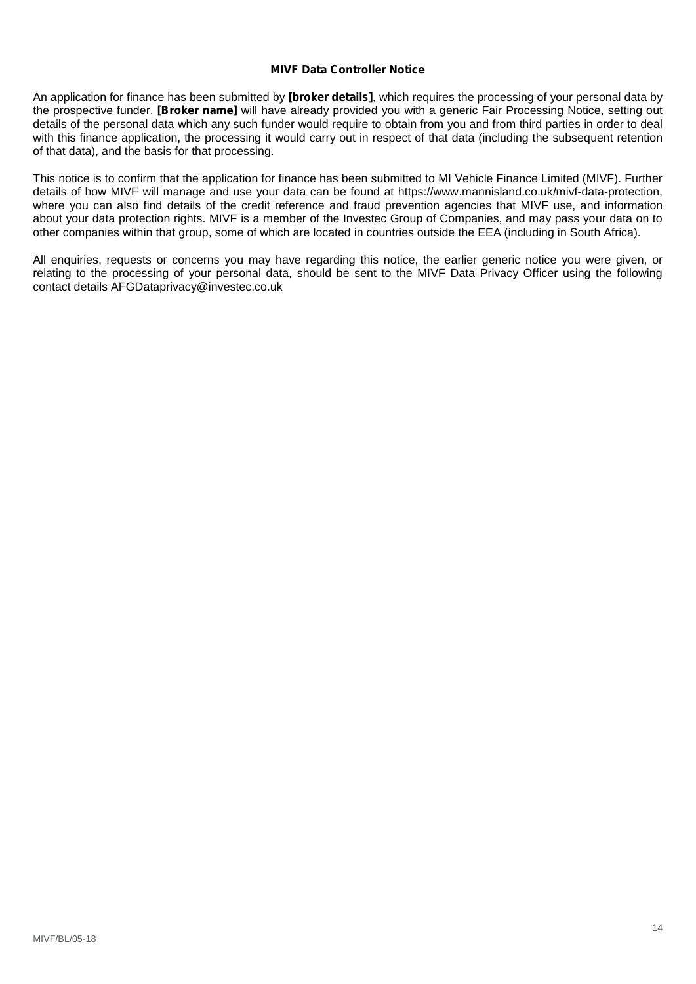## **MIVF Data Controller Notice**

An application for finance has been submitted by **[broker details]**, which requires the processing of your personal data by the prospective funder. **[Broker name]** will have already provided you with a generic Fair Processing Notice, setting out details of the personal data which any such funder would require to obtain from you and from third parties in order to deal with this finance application, the processing it would carry out in respect of that data (including the subsequent retention of that data), and the basis for that processing.

This notice is to confirm that the application for finance has been submitted to MI Vehicle Finance Limited (MIVF). Further details of how MIVF will manage and use your data can be found at https://www.mannisland.co.uk/mivf-data-protection, where you can also find details of the credit reference and fraud prevention agencies that MIVF use, and information about your data protection rights. MIVF is a member of the Investec Group of Companies, and may pass your data on to other companies within that group, some of which are located in countries outside the EEA (including in South Africa).

All enquiries, requests or concerns you may have regarding this notice, the earlier generic notice you were given, or relating to the processing of your personal data, should be sent to the MIVF Data Privacy Officer using the following contact details AFGDataprivacy@investec.co.uk